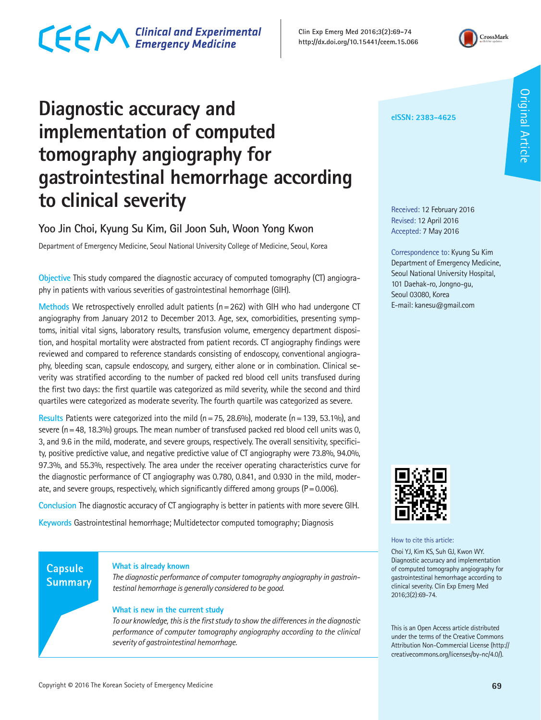### CECM Clinical and Experimental

**Clin Exp Emerg Med 2016;3(2):69-74 http://dx.doi.org/10.15441/ceem.15.066**



### **Diagnostic accuracy and implementation of computed tomography angiography for gastrointestinal hemorrhage according to clinical severity**

#### **Yoo Jin Choi, Kyung Su Kim, Gil Joon Suh, Woon Yong Kwon**

Department of Emergency Medicine, Seoul National University College of Medicine, Seoul, Korea

**Objective** This study compared the diagnostic accuracy of computed tomography (CT) angiography in patients with various severities of gastrointestinal hemorrhage (GIH).

**Methods** We retrospectively enrolled adult patients (n=262) with GIH who had undergone CT angiography from January 2012 to December 2013. Age, sex, comorbidities, presenting symptoms, initial vital signs, laboratory results, transfusion volume, emergency department disposition, and hospital mortality were abstracted from patient records. CT angiography findings were reviewed and compared to reference standards consisting of endoscopy, conventional angiography, bleeding scan, capsule endoscopy, and surgery, either alone or in combination. Clinical severity was stratified according to the number of packed red blood cell units transfused during the first two days: the first quartile was categorized as mild severity, while the second and third quartiles were categorized as moderate severity. The fourth quartile was categorized as severe.

**Results** Patients were categorized into the mild (n=75, 28.6%), moderate (n=139, 53.1%), and severe ( $n=48$ , 18.3%) groups. The mean number of transfused packed red blood cell units was 0, 3, and 9.6 in the mild, moderate, and severe groups, respectively. The overall sensitivity, specificity, positive predictive value, and negative predictive value of CT angiography were 73.8%, 94.0%, 97.3%, and 55.3%, respectively. The area under the receiver operating characteristics curve for the diagnostic performance of CT angiography was 0.780, 0.841, and 0.930 in the mild, moderate, and severe groups, respectively, which significantly differed among groups ( $P=0.006$ ).

**Conclusion** The diagnostic accuracy of CT angiography is better in patients with more severe GIH.

**Keywords** Gastrointestinal hemorrhage; Multidetector computed tomography; Diagnosis

#### **Capsule Summary**

#### **What is already known**

*The diagnostic performance of computer tomography angiography in gastrointestinal hemorrhage is generally considered to be good.*

#### **What is new in the current study**

*To our knowledge, this is the first study to show the differences in the diagnostic performance of computer tomography angiography according to the clinical severity of gastrointestinal hemorrhage.*

#### **eISSN: 2383-4625**

Received: 12 February 2016 Revised: 12 April 2016 Accepted: 7 May 2016

Correspondence to: Kyung Su Kim Department of Emergency Medicine, Seoul National University Hospital, 101 Daehak-ro, Jongno-gu, Seoul 03080, Korea E-mail: kanesu@gmail.com



How to cite this article:

Choi YJ, Kim KS, Suh GJ, Kwon WY. Diagnostic accuracy and implementation of computed tomography angiography for gastrointestinal hemorrhage according to clinical severity. Clin Exp Emerg Med 2016;3(2):69-74.

This is an Open Access article distributed under the terms of the Creative Commons Attribution Non-Commercial License (http:// creativecommons.org/licenses/by-nc/4.0/).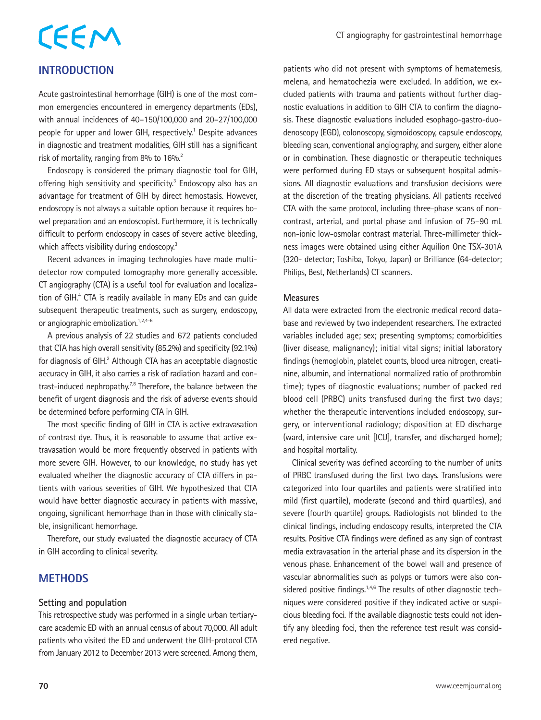# CEEM

#### **INTRODUCTION**

Acute gastrointestinal hemorrhage (GIH) is one of the most common emergencies encountered in emergency departments (EDs), with annual incidences of 40–150/100,000 and 20–27/100,000 people for upper and lower GIH, respectively.<sup>1</sup> Despite advances in diagnostic and treatment modalities, GIH still has a significant risk of mortality, ranging from 8% to 16%.<sup>2</sup>

Endoscopy is considered the primary diagnostic tool for GIH, offering high sensitivity and specificity.<sup>3</sup> Endoscopy also has an advantage for treatment of GIH by direct hemostasis. However, endoscopy is not always a suitable option because it requires bowel preparation and an endoscopist. Furthermore, it is technically difficult to perform endoscopy in cases of severe active bleeding, which affects visibility during endoscopy.<sup>3</sup>

Recent advances in imaging technologies have made multidetector row computed tomography more generally accessible. CT angiography (CTA) is a useful tool for evaluation and localization of GIH.<sup>4</sup> CTA is readily available in many EDs and can guide subsequent therapeutic treatments, such as surgery, endoscopy, or angiographic embolization.<sup>1,2,4-6</sup>

A previous analysis of 22 studies and 672 patients concluded that CTA has high overall sensitivity (85.2%) and specificity (92.1%) for diagnosis of GIH.<sup>2</sup> Although CTA has an acceptable diagnostic accuracy in GIH, it also carries a risk of radiation hazard and contrast-induced nephropathy.7,8 Therefore, the balance between the benefit of urgent diagnosis and the risk of adverse events should be determined before performing CTA in GIH.

The most specific finding of GIH in CTA is active extravasation of contrast dye. Thus, it is reasonable to assume that active extravasation would be more frequently observed in patients with more severe GIH. However, to our knowledge, no study has yet evaluated whether the diagnostic accuracy of CTA differs in patients with various severities of GIH. We hypothesized that CTA would have better diagnostic accuracy in patients with massive, ongoing, significant hemorrhage than in those with clinically stable, insignificant hemorrhage.

Therefore, our study evaluated the diagnostic accuracy of CTA in GIH according to clinical severity.

#### **METHODS**

#### **Setting and population**

This retrospective study was performed in a single urban tertiarycare academic ED with an annual census of about 70,000. All adult patients who visited the ED and underwent the GIH-protocol CTA from January 2012 to December 2013 were screened. Among them,

patients who did not present with symptoms of hematemesis, melena, and hematochezia were excluded. In addition, we excluded patients with trauma and patients without further diagnostic evaluations in addition to GIH CTA to confirm the diagnosis. These diagnostic evaluations included esophago-gastro-duodenoscopy (EGD), colonoscopy, sigmoidoscopy, capsule endoscopy, bleeding scan, conventional angiography, and surgery, either alone or in combination. These diagnostic or therapeutic techniques were performed during ED stays or subsequent hospital admissions. All diagnostic evaluations and transfusion decisions were at the discretion of the treating physicians. All patients received CTA with the same protocol, including three-phase scans of noncontrast, arterial, and portal phase and infusion of 75–90 mL non-ionic low-osmolar contrast material. Three-millimeter thickness images were obtained using either Aquilion One TSX-301A (320- detector; Toshiba, Tokyo, Japan) or Brilliance (64-detector; Philips, Best, Netherlands) CT scanners.

#### **Measures**

All data were extracted from the electronic medical record database and reviewed by two independent researchers. The extracted variables included age; sex; presenting symptoms; comorbidities (liver disease, malignancy); initial vital signs; initial laboratory findings (hemoglobin, platelet counts, blood urea nitrogen, creatinine, albumin, and international normalized ratio of prothrombin time); types of diagnostic evaluations; number of packed red blood cell (PRBC) units transfused during the first two days; whether the therapeutic interventions included endoscopy, surgery, or interventional radiology; disposition at ED discharge (ward, intensive care unit [ICU], transfer, and discharged home); and hospital mortality.

Clinical severity was defined according to the number of units of PRBC transfused during the first two days. Transfusions were categorized into four quartiles and patients were stratified into mild (first quartile), moderate (second and third quartiles), and severe (fourth quartile) groups. Radiologists not blinded to the clinical findings, including endoscopy results, interpreted the CTA results. Positive CTA findings were defined as any sign of contrast media extravasation in the arterial phase and its dispersion in the venous phase. Enhancement of the bowel wall and presence of vascular abnormalities such as polyps or tumors were also considered positive findings.<sup>1,4,6</sup> The results of other diagnostic techniques were considered positive if they indicated active or suspicious bleeding foci. If the available diagnostic tests could not identify any bleeding foci, then the reference test result was considered negative.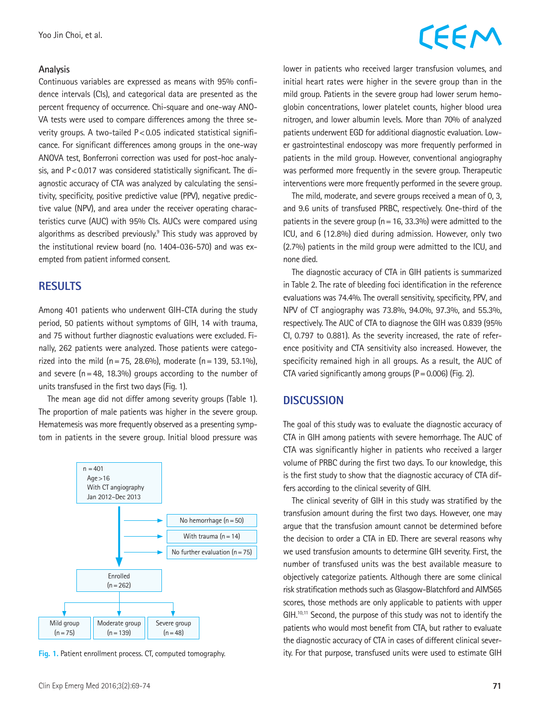#### **Analysis**

Continuous variables are expressed as means with 95% confidence intervals (CIs), and categorical data are presented as the percent frequency of occurrence. Chi-square and one-way ANO-VA tests were used to compare differences among the three severity groups. A two-tailed P<0.05 indicated statistical significance. For significant differences among groups in the one-way ANOVA test, Bonferroni correction was used for post-hoc analysis, and  $P < 0.017$  was considered statistically significant. The diagnostic accuracy of CTA was analyzed by calculating the sensitivity, specificity, positive predictive value (PPV), negative predictive value (NPV), and area under the receiver operating characteristics curve (AUC) with 95% CIs. AUCs were compared using algorithms as described previously.<sup>9</sup> This study was approved by the institutional review board (no. 1404-036-570) and was exempted from patient informed consent.

#### **RESULTS**

Among 401 patients who underwent GIH-CTA during the study period, 50 patients without symptoms of GIH, 14 with trauma, and 75 without further diagnostic evaluations were excluded. Finally, 262 patients were analyzed. Those patients were categorized into the mild (n = 75, 28.6%), moderate (n = 139, 53.1%), and severe  $(n=48, 18.3%)$  groups according to the number of units transfused in the first two days (Fig. 1).

The mean age did not differ among severity groups (Table 1). The proportion of male patients was higher in the severe group. Hematemesis was more frequently observed as a presenting symptom in patients in the severe group. Initial blood pressure was



**Fig. 1.** Patient enrollment process. CT, computed tomography.

### **CEEM**

lower in patients who received larger transfusion volumes, and initial heart rates were higher in the severe group than in the mild group. Patients in the severe group had lower serum hemoglobin concentrations, lower platelet counts, higher blood urea nitrogen, and lower albumin levels. More than 70% of analyzed patients underwent EGD for additional diagnostic evaluation. Lower gastrointestinal endoscopy was more frequently performed in patients in the mild group. However, conventional angiography was performed more frequently in the severe group. Therapeutic interventions were more frequently performed in the severe group.

The mild, moderate, and severe groups received a mean of 0, 3, and 9.6 units of transfused PRBC, respectively. One-third of the patients in the severe group ( $n=16$ , 33.3%) were admitted to the ICU, and 6 (12.8%) died during admission. However, only two (2.7%) patients in the mild group were admitted to the ICU, and none died.

The diagnostic accuracy of CTA in GIH patients is summarized in Table 2. The rate of bleeding foci identification in the reference evaluations was 74.4%. The overall sensitivity, specificity, PPV, and NPV of CT angiography was 73.8%, 94.0%, 97.3%, and 55.3%, respectively. The AUC of CTA to diagnose the GIH was 0.839 (95% CI, 0.797 to 0.881). As the severity increased, the rate of reference positivity and CTA sensitivity also increased. However, the specificity remained high in all groups. As a result, the AUC of CTA varied significantly among groups  $(P=0.006)$  (Fig. 2).

#### **DISCUSSION**

The goal of this study was to evaluate the diagnostic accuracy of CTA in GIH among patients with severe hemorrhage. The AUC of CTA was significantly higher in patients who received a larger volume of PRBC during the first two days. To our knowledge, this is the first study to show that the diagnostic accuracy of CTA differs according to the clinical severity of GIH.

The clinical severity of GIH in this study was stratified by the transfusion amount during the first two days. However, one may argue that the transfusion amount cannot be determined before the decision to order a CTA in ED. There are several reasons why we used transfusion amounts to determine GIH severity. First, the number of transfused units was the best available measure to objectively categorize patients. Although there are some clinical risk stratification methods such as Glasgow-Blatchford and AIMS65 scores, those methods are only applicable to patients with upper GIH.<sup>10,11</sup> Second, the purpose of this study was not to identify the patients who would most benefit from CTA, but rather to evaluate the diagnostic accuracy of CTA in cases of different clinical severity. For that purpose, transfused units were used to estimate GIH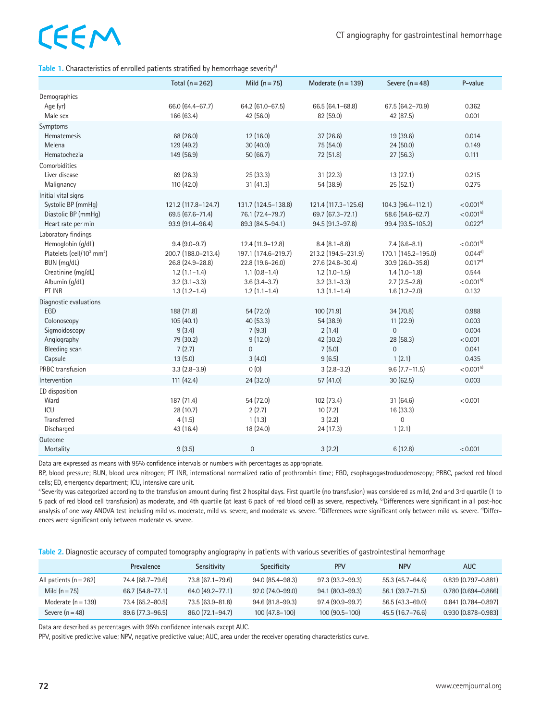## CEEM

Table 1. Characteristics of enrolled patients stratified by hemorrhage severity<sup>a)</sup>

|                                                                                                                                                                | Total $(n=262)$                                                                                                        | Mild $(n=75)$                                                                                                       | Moderate $(n = 139)$                                                                                                   | Severe $(n = 48)$                                                                                                 | P-value                                                                   |
|----------------------------------------------------------------------------------------------------------------------------------------------------------------|------------------------------------------------------------------------------------------------------------------------|---------------------------------------------------------------------------------------------------------------------|------------------------------------------------------------------------------------------------------------------------|-------------------------------------------------------------------------------------------------------------------|---------------------------------------------------------------------------|
| Demographics<br>Age (yr)<br>Male sex                                                                                                                           | 66.0 (64.4-67.7)<br>166 (63.4)                                                                                         | 64.2 (61.0-67.5)<br>42 (56.0)                                                                                       | 66.5 (64.1-68.8)<br>82 (59.0)                                                                                          | 67.5 (64.2-70.9)<br>42 (87.5)                                                                                     | 0.362<br>0.001                                                            |
| Symptoms<br><b>Hematemesis</b><br>Melena<br>Hematochezia                                                                                                       | 68 (26.0)<br>129 (49.2)<br>149 (56.9)                                                                                  | 12 (16.0)<br>30 (40.0)<br>50(66.7)                                                                                  | 37 (26.6)<br>75 (54.0)<br>72 (51.8)                                                                                    | 19 (39.6)<br>24(50.0)<br>27(56.3)                                                                                 | 0.014<br>0.149<br>0.111                                                   |
| Comorbidities<br>Liver disease<br>Malignancy                                                                                                                   | 69 (26.3)<br>110 (42.0)                                                                                                | 25 (33.3)<br>31 (41.3)                                                                                              | 31 (22.3)<br>54 (38.9)                                                                                                 | 13(27.1)<br>25(52.1)                                                                                              | 0.215<br>0.275                                                            |
| Initial vital signs<br>Systolic BP (mmHg)<br>Diastolic BP (mmHg)<br>Heart rate per min                                                                         | 121.2 (117.8-124.7)<br>69.5 (67.6-71.4)<br>93.9 (91.4-96.4)                                                            | 131.7 (124.5-138.8)<br>76.1 (72.4-79.7)<br>89.3 (84.5-94.1)                                                         | 121.4 (117.3-125.6)<br>69.7 (67.3-72.1)<br>94.5 (91.3-97.8)                                                            | 104.3 (96.4-112.1)<br>58.6 (54.6-62.7)<br>99.4 (93.5-105.2)                                                       | < 0.001 <sup>b</sup><br>$< 0.001^{b}$<br>0.022c                           |
| Laboratory findings<br>Hemoglobin (g/dL)<br>Platelets (cell/10 <sup>3</sup> mm <sup>2</sup> )<br>BUN (mg/dL)<br>Creatinine (mg/dL)<br>Albumin (g/dL)<br>PT INR | $9.4(9.0-9.7)$<br>200.7 (188.0-213.4)<br>26.8 (24.9-28.8)<br>$1.2(1.1-1.4)$<br>$3.2$ $(3.1 - 3.3)$<br>$1.3(1.2 - 1.4)$ | 12.4 (11.9-12.8)<br>197.1 (174.6-219.7)<br>22.8 (19.6-26.0)<br>$1.1(0.8-1.4)$<br>$3.6(3.4 - 3.7)$<br>$1.2(1.1-1.4)$ | $8.4(8.1 - 8.8)$<br>213.2 (194.5-231.9)<br>27.6 (24.8-30.4)<br>$1.2(1.0-1.5)$<br>$3.2$ $(3.1 - 3.3)$<br>$1.3(1.1-1.4)$ | $7.4(6.6-8.1)$<br>170.1 (145.2-195.0)<br>30.9 (26.0-35.8)<br>$1.4(1.0-1.8)$<br>$2.7(2.5-2.8)$<br>$1.6(1.2 - 2.0)$ | $< 0.001^{b}$<br>$0.044^{d}$<br>0.017c<br>0.544<br>$< 0.001^{b}$<br>0.132 |
| Diagnostic evaluations<br>EGD<br>Colonoscopy<br>Sigmoidoscopy<br>Angiography<br><b>Bleeding</b> scan<br>Capsule                                                | 188 (71.8)<br>105(40.1)<br>9(3.4)<br>79 (30.2)<br>7(2.7)<br>13(5.0)                                                    | 54 (72.0)<br>40 (53.3)<br>7(9.3)<br>9(12.0)<br>$\boldsymbol{0}$<br>3(4.0)                                           | 100 (71.9)<br>54 (38.9)<br>2(1.4)<br>42 (30.2)<br>7(5.0)<br>9(6.5)                                                     | 34 (70.8)<br>11(22.9)<br>$\mathbf{0}$<br>28 (58.3)<br>$\overline{0}$<br>1(2.1)                                    | 0.988<br>0.003<br>0.004<br>< 0.001<br>0.041<br>0.435                      |
| PRBC transfusion<br>Intervention                                                                                                                               | $3.3(2.8-3.9)$<br>111 (42.4)                                                                                           | 0(0)<br>24 (32.0)                                                                                                   | $3(2.8-3.2)$<br>57 (41.0)                                                                                              | $9.6$ (7.7-11.5)<br>30(62.5)                                                                                      | $< 0.001^{b}$<br>0.003                                                    |
| ED disposition<br>Ward<br>ICU<br>Transferred<br>Discharged                                                                                                     | 187 (71.4)<br>28 (10.7)<br>4(1.5)<br>43 (16.4)                                                                         | 54 (72.0)<br>2(2.7)<br>1(1.3)<br>18 (24.0)                                                                          | 102 (73.4)<br>10(7.2)<br>3(2.2)<br>24 (17.3)                                                                           | 31 (64.6)<br>16 (33.3)<br>0<br>1(2.1)                                                                             | < 0.001                                                                   |
| Outcome<br>Mortality                                                                                                                                           | 9(3.5)                                                                                                                 | $\mathbf 0$                                                                                                         | 3(2.2)                                                                                                                 | 6(12.8)                                                                                                           | < 0.001                                                                   |

Data are expressed as means with 95% confidence intervals or numbers with percentages as appropriate.

BP, blood pressure; BUN, blood urea nitrogen; PT INR, international normalized ratio of prothrombin time; EGD, esophagogastroduodenoscopy; PRBC, packed red blood cells; ED, emergency department; ICU, intensive care unit.

a)Severity was categorized according to the transfusion amount during first 2 hospital days. First quartile (no transfusion) was considered as mild, 2nd and 3rd quartile (1 to 5 pack of red blood cell transfusion) as moderate, and 4th quartile (at least 6 pack of red blood cell) as severe, respectively. b)Differences were significant in all post-hoc analysis of one way ANOVA test including mild vs. moderate, mild vs. severe, and moderate vs. severe. <sup>c)</sup>Differences were significant only between mild vs. severe. <sup>d</sup>)Differences were significant only between moderate vs. severe.

**Table 2.** Diagnostic accuracy of computed tomography angiography in patients with various severities of gastrointestinal hemorrhage

|                          | Prevalence       | Sensitivity      | Specificity      | <b>PPV</b>       | <b>NPV</b>          | AUC.                   |
|--------------------------|------------------|------------------|------------------|------------------|---------------------|------------------------|
| All patients $(n = 262)$ | 74.4 (68.7–79.6) | 73.8 (67.1-79.6) | 94.0 (85.4-98.3) | 97.3 (93.2–99.3) | 55.3 (45.7-64.6)    | $0.839(0.797 - 0.881)$ |
| Mild $(n=75)$            | 66.7 (54.8–77.1) | 64.0 (49.2-77.1) | 92.0 (74.0-99.0) | 94.1 (80.3-99.3) | $56.1(39.7 - 71.5)$ | $0.780(0.694 - 0.866)$ |
| Moderate $(n = 139)$     | 73.4 (65.2-80.5) | 73.5 (63.9-81.8) | 94.6 (81.8-99.3) | 97.4 (90.9–99.7) | 56.5 (43.3-69.0)    | $0.841(0.784 - 0.897)$ |
| Severe $(n = 48)$        | 89.6 (77.3-96.5) | 86.0 (72.1-94.7) | $100(47.8-100)$  | 100 (90.5-100)   | 45.5 (16.7-76.6)    | $0.930(0.878 - 0.983)$ |

Data are described as percentages with 95% confidence intervals except AUC.

PPV, positive predictive value; NPV, negative predictive value; AUC, area under the receiver operating characteristics curve.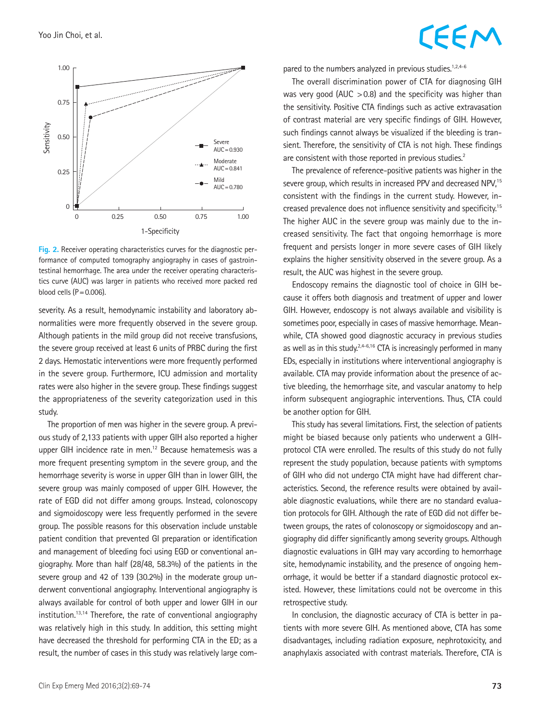

**Fig. 2.** Receiver operating characteristics curves for the diagnostic performance of computed tomography angiography in cases of gastrointestinal hemorrhage. The area under the receiver operating characteristics curve (AUC) was larger in patients who received more packed red blood cells  $(P=0.006)$ .

severity. As a result, hemodynamic instability and laboratory abnormalities were more frequently observed in the severe group. Although patients in the mild group did not receive transfusions, the severe group received at least 6 units of PRBC during the first 2 days. Hemostatic interventions were more frequently performed in the severe group. Furthermore, ICU admission and mortality rates were also higher in the severe group. These findings suggest the appropriateness of the severity categorization used in this study.

The proportion of men was higher in the severe group. A previous study of 2,133 patients with upper GIH also reported a higher upper GIH incidence rate in men.<sup>12</sup> Because hematemesis was a more frequent presenting symptom in the severe group, and the hemorrhage severity is worse in upper GIH than in lower GIH, the severe group was mainly composed of upper GIH. However, the rate of EGD did not differ among groups. Instead, colonoscopy and sigmoidoscopy were less frequently performed in the severe group. The possible reasons for this observation include unstable patient condition that prevented GI preparation or identification and management of bleeding foci using EGD or conventional angiography. More than half (28/48, 58.3%) of the patients in the severe group and 42 of 139 (30.2%) in the moderate group underwent conventional angiography. Interventional angiography is always available for control of both upper and lower GIH in our institution.13,14 Therefore, the rate of conventional angiography was relatively high in this study. In addition, this setting might have decreased the threshold for performing CTA in the ED; as a result, the number of cases in this study was relatively large com-

### CEEM

pared to the numbers analyzed in previous studies. $1,2,4-6$ 

The overall discrimination power of CTA for diagnosing GIH was very good (AUC  $>0.8$ ) and the specificity was higher than the sensitivity. Positive CTA findings such as active extravasation of contrast material are very specific findings of GIH. However, such findings cannot always be visualized if the bleeding is transient. Therefore, the sensitivity of CTA is not high. These findings are consistent with those reported in previous studies.<sup>2</sup>

The prevalence of reference-positive patients was higher in the severe group, which results in increased PPV and decreased NPV,<sup>15</sup> consistent with the findings in the current study. However, increased prevalence does not influence sensitivity and specificity.15 The higher AUC in the severe group was mainly due to the increased sensitivity. The fact that ongoing hemorrhage is more frequent and persists longer in more severe cases of GIH likely explains the higher sensitivity observed in the severe group. As a result, the AUC was highest in the severe group.

Endoscopy remains the diagnostic tool of choice in GIH because it offers both diagnosis and treatment of upper and lower GIH. However, endoscopy is not always available and visibility is sometimes poor, especially in cases of massive hemorrhage. Meanwhile, CTA showed good diagnostic accuracy in previous studies as well as in this study.<sup>2,4-6,16</sup> CTA is increasingly performed in many EDs, especially in institutions where interventional angiography is available. CTA may provide information about the presence of active bleeding, the hemorrhage site, and vascular anatomy to help inform subsequent angiographic interventions. Thus, CTA could be another option for GIH.

This study has several limitations. First, the selection of patients might be biased because only patients who underwent a GIHprotocol CTA were enrolled. The results of this study do not fully represent the study population, because patients with symptoms of GIH who did not undergo CTA might have had different characteristics. Second, the reference results were obtained by available diagnostic evaluations, while there are no standard evaluation protocols for GIH. Although the rate of EGD did not differ between groups, the rates of colonoscopy or sigmoidoscopy and angiography did differ significantly among severity groups. Although diagnostic evaluations in GIH may vary according to hemorrhage site, hemodynamic instability, and the presence of ongoing hemorrhage, it would be better if a standard diagnostic protocol existed. However, these limitations could not be overcome in this retrospective study.

In conclusion, the diagnostic accuracy of CTA is better in patients with more severe GIH. As mentioned above, CTA has some disadvantages, including radiation exposure, nephrotoxicity, and anaphylaxis associated with contrast materials. Therefore, CTA is